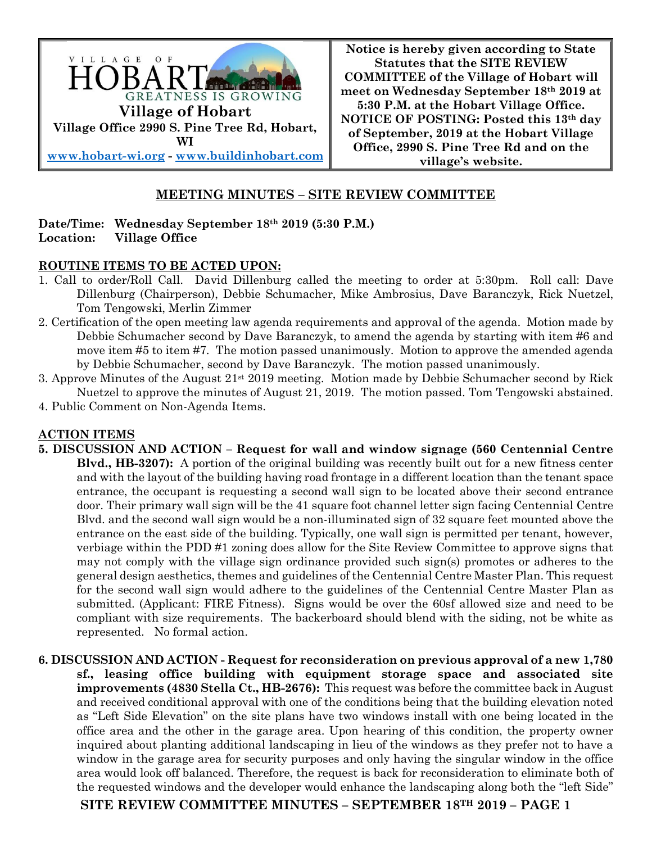

**Notice is hereby given according to State Statutes that the SITE REVIEW COMMITTEE of the Village of Hobart will meet on Wednesday September 18th 2019 at 5:30 P.M. at the Hobart Village Office. NOTICE OF POSTING: Posted this 13th day of September, 2019 at the Hobart Village Office, 2990 S. Pine Tree Rd and on the village's website.**

# **MEETING MINUTES – SITE REVIEW COMMITTEE**

#### **Date/Time: Wednesday September 18th 2019 (5:30 P.M.) Location: Village Office**

### **ROUTINE ITEMS TO BE ACTED UPON:**

- 1. Call to order/Roll Call. David Dillenburg called the meeting to order at 5:30pm. Roll call: Dave Dillenburg (Chairperson), Debbie Schumacher, Mike Ambrosius, Dave Baranczyk, Rick Nuetzel, Tom Tengowski, Merlin Zimmer
- 2. Certification of the open meeting law agenda requirements and approval of the agenda. Motion made by Debbie Schumacher second by Dave Baranczyk, to amend the agenda by starting with item #6 and move item #5 to item #7. The motion passed unanimously. Motion to approve the amended agenda by Debbie Schumacher, second by Dave Baranczyk. The motion passed unanimously.
- 3. Approve Minutes of the August  $21<sup>st</sup> 2019$  meeting. Motion made by Debbie Schumacher second by Rick Nuetzel to approve the minutes of August 21, 2019. The motion passed. Tom Tengowski abstained.
- 4. Public Comment on Non-Agenda Items.

## **ACTION ITEMS**

**5. DISCUSSION AND ACTION – Request for wall and window signage (560 Centennial Centre Blvd., HB-3207):** A portion of the original building was recently built out for a new fitness center and with the layout of the building having road frontage in a different location than the tenant space entrance, the occupant is requesting a second wall sign to be located above their second entrance door. Their primary wall sign will be the 41 square foot channel letter sign facing Centennial Centre Blvd. and the second wall sign would be a non-illuminated sign of 32 square feet mounted above the entrance on the east side of the building. Typically, one wall sign is permitted per tenant, however, verbiage within the PDD #1 zoning does allow for the Site Review Committee to approve signs that may not comply with the village sign ordinance provided such sign(s) promotes or adheres to the general design aesthetics, themes and guidelines of the Centennial Centre Master Plan. This request for the second wall sign would adhere to the guidelines of the Centennial Centre Master Plan as submitted. (Applicant: FIRE Fitness). Signs would be over the 60sf allowed size and need to be compliant with size requirements. The backerboard should blend with the siding, not be white as represented. No formal action.

**6. DISCUSSION AND ACTION - Request for reconsideration on previous approval of a new 1,780 sf., leasing office building with equipment storage space and associated site improvements (4830 Stella Ct., HB-2676):** This request was before the committee back in August and received conditional approval with one of the conditions being that the building elevation noted as "Left Side Elevation" on the site plans have two windows install with one being located in the office area and the other in the garage area. Upon hearing of this condition, the property owner inquired about planting additional landscaping in lieu of the windows as they prefer not to have a window in the garage area for security purposes and only having the singular window in the office area would look off balanced. Therefore, the request is back for reconsideration to eliminate both of the requested windows and the developer would enhance the landscaping along both the "left Side"

**SITE REVIEW COMMITTEE MINUTES – SEPTEMBER 18TH 2019 – PAGE 1**